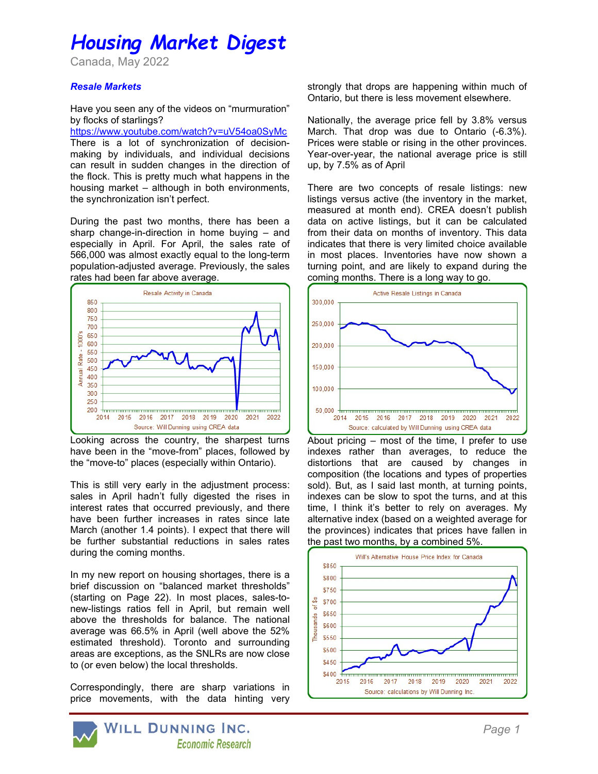# Housing Market Digest

Canada, May 2022

## Resale Markets

Have you seen any of the videos on "murmuration" by flocks of starlings?

https://www.youtube.com/watch?v=uV54oa0SyMc There is a lot of synchronization of decisionmaking by individuals, and individual decisions can result in sudden changes in the direction of the flock. This is pretty much what happens in the housing market – although in both environments, the synchronization isn't perfect.

During the past two months, there has been a sharp change-in-direction in home buying – and especially in April. For April, the sales rate of 566,000 was almost exactly equal to the long-term population-adjusted average. Previously, the sales rates had been far above average.



Looking across the country, the sharpest turns have been in the "move-from" places, followed by the "move-to" places (especially within Ontario).

This is still very early in the adjustment process: sales in April hadn't fully digested the rises in interest rates that occurred previously, and there have been further increases in rates since late March (another 1.4 points). I expect that there will be further substantial reductions in sales rates during the coming months.

In my new report on housing shortages, there is a brief discussion on "balanced market thresholds" (starting on Page 22). In most places, sales-tonew-listings ratios fell in April, but remain well above the thresholds for balance. The national average was 66.5% in April (well above the 52% estimated threshold). Toronto and surrounding areas are exceptions, as the SNLRs are now close to (or even below) the local thresholds.

Correspondingly, there are sharp variations in price movements, with the data hinting very



strongly that drops are happening within much of Ontario, but there is less movement elsewhere.

Nationally, the average price fell by 3.8% versus March. That drop was due to Ontario (-6.3%). Prices were stable or rising in the other provinces. Year-over-year, the national average price is still up, by 7.5% as of April

There are two concepts of resale listings: new listings versus active (the inventory in the market, measured at month end). CREA doesn't publish data on active listings, but it can be calculated from their data on months of inventory. This data indicates that there is very limited choice available in most places. Inventories have now shown a turning point, and are likely to expand during the coming months. There is a long way to go.



About pricing – most of the time, I prefer to use indexes rather than averages, to reduce the distortions that are caused by changes in composition (the locations and types of properties sold). But, as I said last month, at turning points, indexes can be slow to spot the turns, and at this time, I think it's better to rely on averages. My alternative index (based on a weighted average for the provinces) indicates that prices have fallen in the past two months, by a combined 5%.